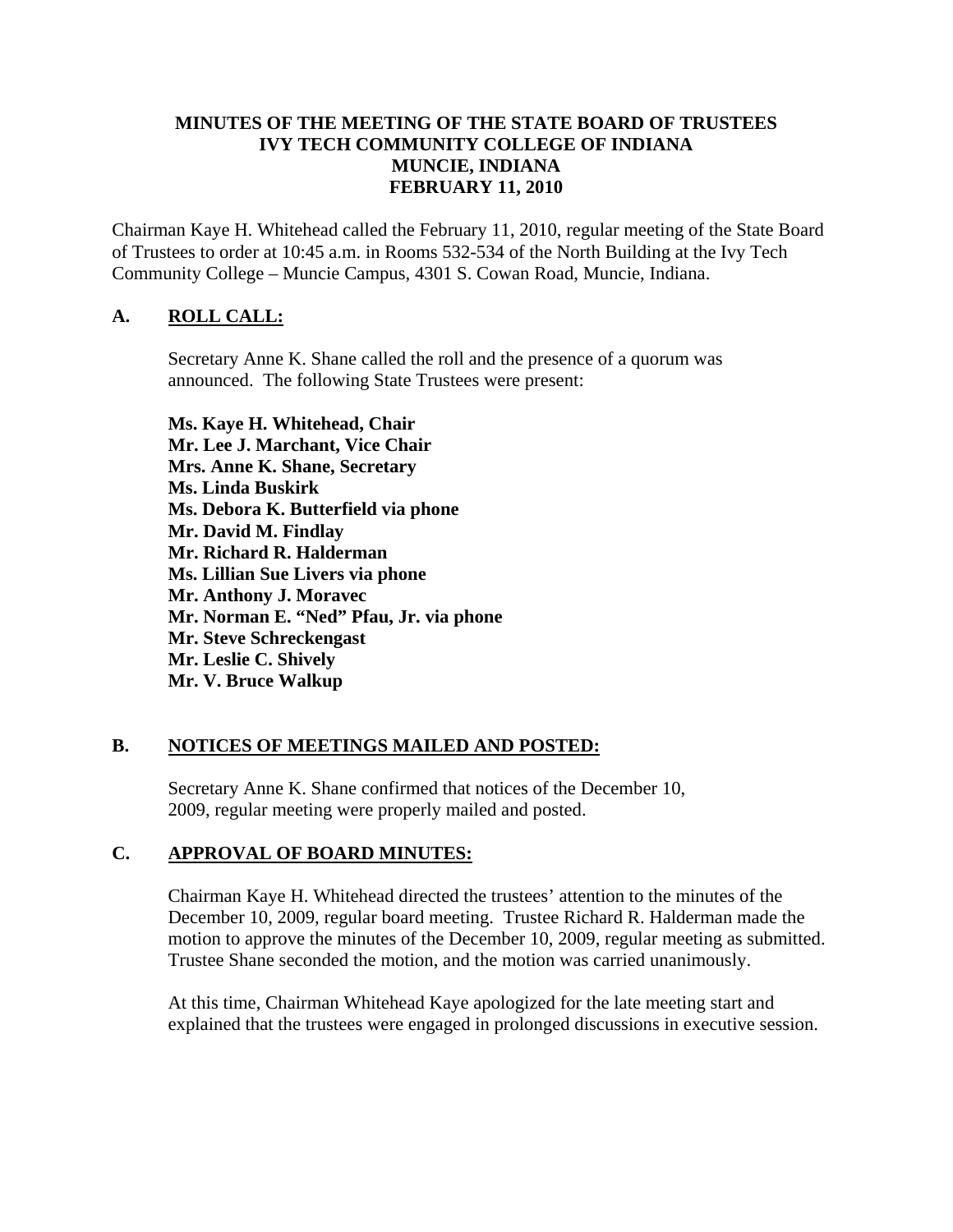### **MINUTES OF THE MEETING OF THE STATE BOARD OF TRUSTEES IVY TECH COMMUNITY COLLEGE OF INDIANA MUNCIE, INDIANA FEBRUARY 11, 2010**

Chairman Kaye H. Whitehead called the February 11, 2010, regular meeting of the State Board of Trustees to order at 10:45 a.m. in Rooms 532-534 of the North Building at the Ivy Tech Community College – Muncie Campus, 4301 S. Cowan Road, Muncie, Indiana.

# **A. ROLL CALL:**

Secretary Anne K. Shane called the roll and the presence of a quorum was announced. The following State Trustees were present:

**Ms. Kaye H. Whitehead, Chair Mr. Lee J. Marchant, Vice Chair Mrs. Anne K. Shane, Secretary Ms. Linda Buskirk Ms. Debora K. Butterfield via phone Mr. David M. Findlay Mr. Richard R. Halderman Ms. Lillian Sue Livers via phone Mr. Anthony J. Moravec Mr. Norman E. "Ned" Pfau, Jr. via phone Mr. Steve Schreckengast Mr. Leslie C. Shively Mr. V. Bruce Walkup** 

## **B. NOTICES OF MEETINGS MAILED AND POSTED:**

Secretary Anne K. Shane confirmed that notices of the December 10, 2009, regular meeting were properly mailed and posted.

# **C. APPROVAL OF BOARD MINUTES:**

Chairman Kaye H. Whitehead directed the trustees' attention to the minutes of the December 10, 2009, regular board meeting. Trustee Richard R. Halderman made the motion to approve the minutes of the December 10, 2009, regular meeting as submitted. Trustee Shane seconded the motion, and the motion was carried unanimously.

At this time, Chairman Whitehead Kaye apologized for the late meeting start and explained that the trustees were engaged in prolonged discussions in executive session.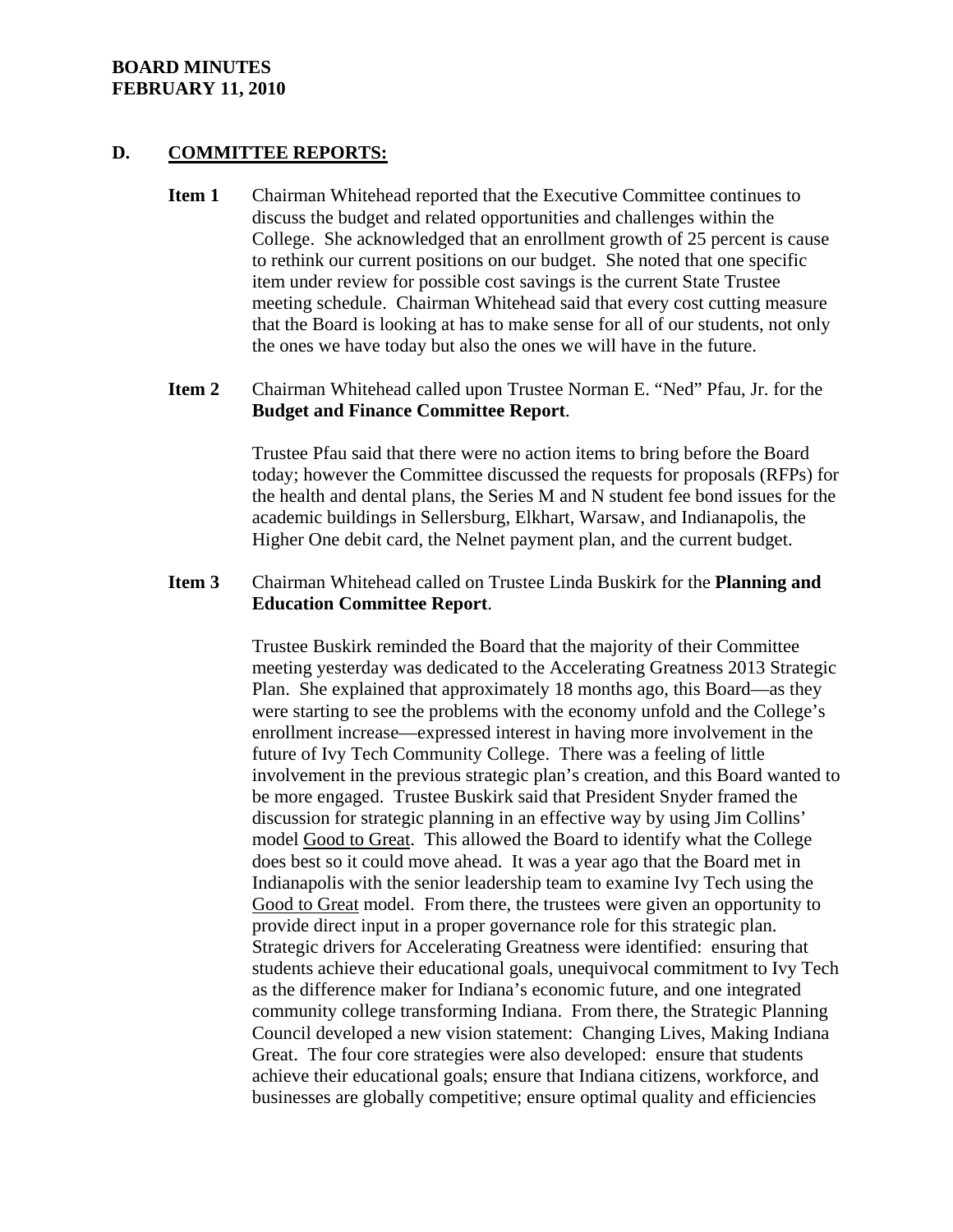#### **D. COMMITTEE REPORTS:**

- **Item 1** Chairman Whitehead reported that the Executive Committee continues to discuss the budget and related opportunities and challenges within the College. She acknowledged that an enrollment growth of 25 percent is cause to rethink our current positions on our budget. She noted that one specific item under review for possible cost savings is the current State Trustee meeting schedule. Chairman Whitehead said that every cost cutting measure that the Board is looking at has to make sense for all of our students, not only the ones we have today but also the ones we will have in the future.
- **Item 2** Chairman Whitehead called upon Trustee Norman E. "Ned" Pfau, Jr. for the **Budget and Finance Committee Report**.

Trustee Pfau said that there were no action items to bring before the Board today; however the Committee discussed the requests for proposals (RFPs) for the health and dental plans, the Series M and N student fee bond issues for the academic buildings in Sellersburg, Elkhart, Warsaw, and Indianapolis, the Higher One debit card, the Nelnet payment plan, and the current budget.

### **Item 3** Chairman Whitehead called on Trustee Linda Buskirk for the **Planning and Education Committee Report**.

Trustee Buskirk reminded the Board that the majority of their Committee meeting yesterday was dedicated to the Accelerating Greatness 2013 Strategic Plan. She explained that approximately 18 months ago, this Board—as they were starting to see the problems with the economy unfold and the College's enrollment increase—expressed interest in having more involvement in the future of Ivy Tech Community College. There was a feeling of little involvement in the previous strategic plan's creation, and this Board wanted to be more engaged. Trustee Buskirk said that President Snyder framed the discussion for strategic planning in an effective way by using Jim Collins' model Good to Great. This allowed the Board to identify what the College does best so it could move ahead. It was a year ago that the Board met in Indianapolis with the senior leadership team to examine Ivy Tech using the Good to Great model. From there, the trustees were given an opportunity to provide direct input in a proper governance role for this strategic plan. Strategic drivers for Accelerating Greatness were identified: ensuring that students achieve their educational goals, unequivocal commitment to Ivy Tech as the difference maker for Indiana's economic future, and one integrated community college transforming Indiana. From there, the Strategic Planning Council developed a new vision statement: Changing Lives, Making Indiana Great. The four core strategies were also developed: ensure that students achieve their educational goals; ensure that Indiana citizens, workforce, and businesses are globally competitive; ensure optimal quality and efficiencies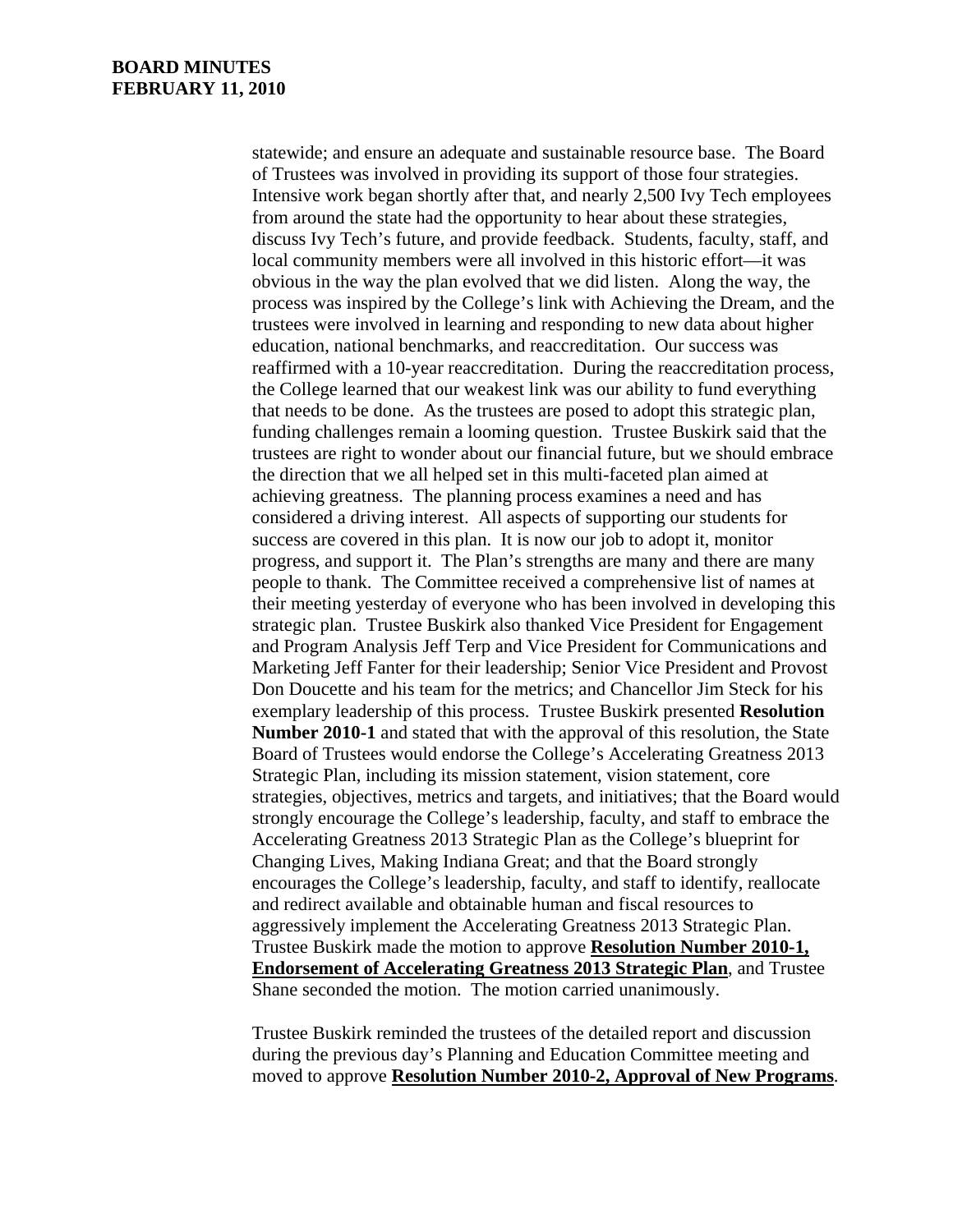statewide; and ensure an adequate and sustainable resource base. The Board of Trustees was involved in providing its support of those four strategies. Intensive work began shortly after that, and nearly 2,500 Ivy Tech employees from around the state had the opportunity to hear about these strategies, discuss Ivy Tech's future, and provide feedback. Students, faculty, staff, and local community members were all involved in this historic effort—it was obvious in the way the plan evolved that we did listen. Along the way, the process was inspired by the College's link with Achieving the Dream, and the trustees were involved in learning and responding to new data about higher education, national benchmarks, and reaccreditation. Our success was reaffirmed with a 10-year reaccreditation. During the reaccreditation process, the College learned that our weakest link was our ability to fund everything that needs to be done. As the trustees are posed to adopt this strategic plan, funding challenges remain a looming question. Trustee Buskirk said that the trustees are right to wonder about our financial future, but we should embrace the direction that we all helped set in this multi-faceted plan aimed at achieving greatness. The planning process examines a need and has considered a driving interest. All aspects of supporting our students for success are covered in this plan. It is now our job to adopt it, monitor progress, and support it. The Plan's strengths are many and there are many people to thank. The Committee received a comprehensive list of names at their meeting yesterday of everyone who has been involved in developing this strategic plan. Trustee Buskirk also thanked Vice President for Engagement and Program Analysis Jeff Terp and Vice President for Communications and Marketing Jeff Fanter for their leadership; Senior Vice President and Provost Don Doucette and his team for the metrics; and Chancellor Jim Steck for his exemplary leadership of this process. Trustee Buskirk presented **Resolution Number 2010-1** and stated that with the approval of this resolution, the State Board of Trustees would endorse the College's Accelerating Greatness 2013 Strategic Plan, including its mission statement, vision statement, core strategies, objectives, metrics and targets, and initiatives; that the Board would strongly encourage the College's leadership, faculty, and staff to embrace the Accelerating Greatness 2013 Strategic Plan as the College's blueprint for Changing Lives, Making Indiana Great; and that the Board strongly encourages the College's leadership, faculty, and staff to identify, reallocate and redirect available and obtainable human and fiscal resources to aggressively implement the Accelerating Greatness 2013 Strategic Plan. Trustee Buskirk made the motion to approve **Resolution Number 2010-1, Endorsement of Accelerating Greatness 2013 Strategic Plan**, and Trustee Shane seconded the motion. The motion carried unanimously.

Trustee Buskirk reminded the trustees of the detailed report and discussion during the previous day's Planning and Education Committee meeting and moved to approve **Resolution Number 2010-2, Approval of New Programs**.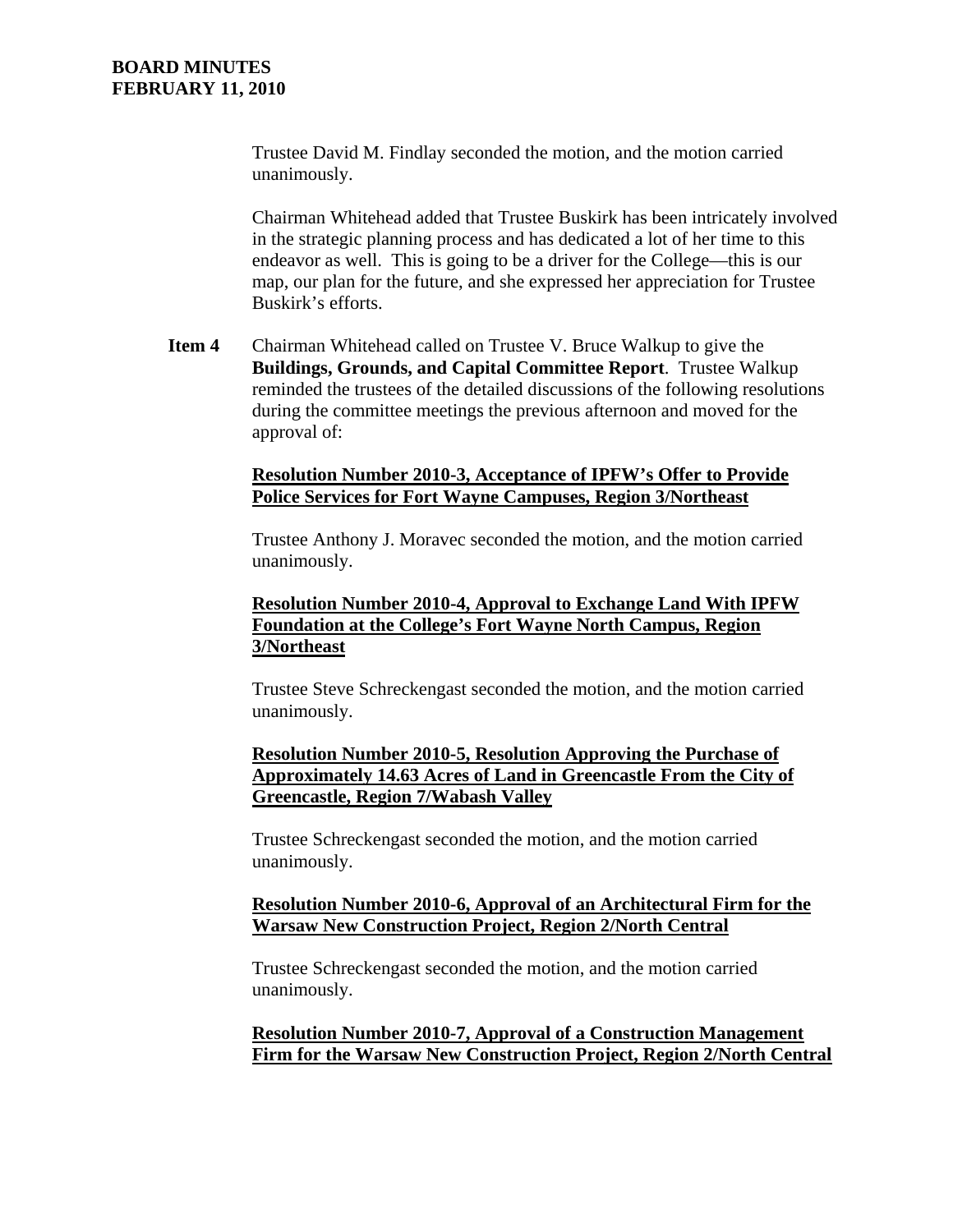Trustee David M. Findlay seconded the motion, and the motion carried unanimously.

Chairman Whitehead added that Trustee Buskirk has been intricately involved in the strategic planning process and has dedicated a lot of her time to this endeavor as well. This is going to be a driver for the College—this is our map, our plan for the future, and she expressed her appreciation for Trustee Buskirk's efforts.

**Item 4** Chairman Whitehead called on Trustee V. Bruce Walkup to give the **Buildings, Grounds, and Capital Committee Report**. Trustee Walkup reminded the trustees of the detailed discussions of the following resolutions during the committee meetings the previous afternoon and moved for the approval of:

### **Resolution Number 2010-3, Acceptance of IPFW's Offer to Provide Police Services for Fort Wayne Campuses, Region 3/Northeast**

Trustee Anthony J. Moravec seconded the motion, and the motion carried unanimously.

## **Resolution Number 2010-4, Approval to Exchange Land With IPFW Foundation at the College's Fort Wayne North Campus, Region 3/Northeast**

Trustee Steve Schreckengast seconded the motion, and the motion carried unanimously.

### **Resolution Number 2010-5, Resolution Approving the Purchase of Approximately 14.63 Acres of Land in Greencastle From the City of Greencastle, Region 7/Wabash Valley**

Trustee Schreckengast seconded the motion, and the motion carried unanimously.

### **Resolution Number 2010-6, Approval of an Architectural Firm for the Warsaw New Construction Project, Region 2/North Central**

Trustee Schreckengast seconded the motion, and the motion carried unanimously.

**Resolution Number 2010-7, Approval of a Construction Management Firm for the Warsaw New Construction Project, Region 2/North Central**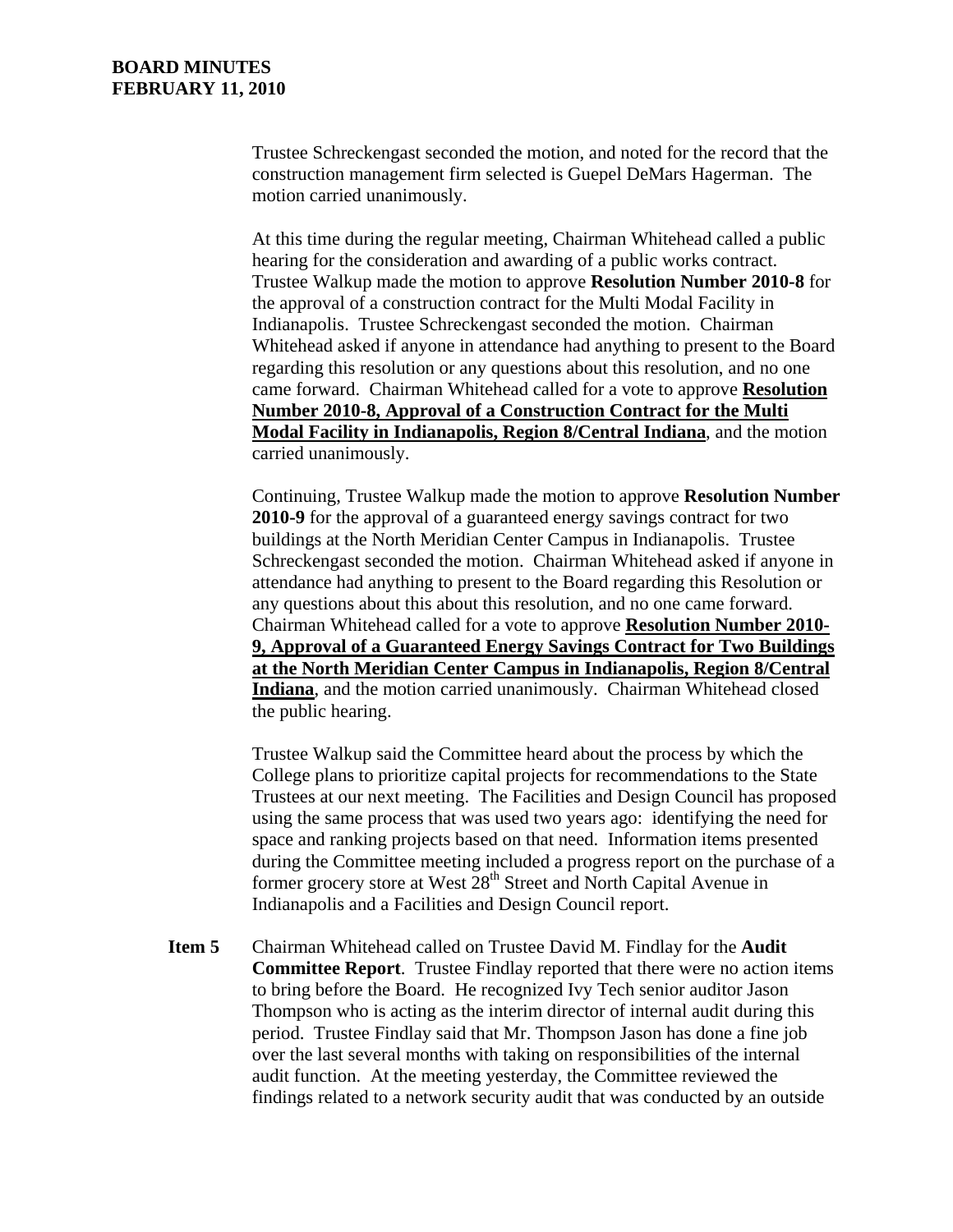Trustee Schreckengast seconded the motion, and noted for the record that the construction management firm selected is Guepel DeMars Hagerman. The motion carried unanimously.

At this time during the regular meeting, Chairman Whitehead called a public hearing for the consideration and awarding of a public works contract. Trustee Walkup made the motion to approve **Resolution Number 2010-8** for the approval of a construction contract for the Multi Modal Facility in Indianapolis. Trustee Schreckengast seconded the motion. Chairman Whitehead asked if anyone in attendance had anything to present to the Board regarding this resolution or any questions about this resolution, and no one came forward. Chairman Whitehead called for a vote to approve **Resolution Number 2010-8, Approval of a Construction Contract for the Multi Modal Facility in Indianapolis, Region 8/Central Indiana**, and the motion carried unanimously.

Continuing, Trustee Walkup made the motion to approve **Resolution Number 2010-9** for the approval of a guaranteed energy savings contract for two buildings at the North Meridian Center Campus in Indianapolis. Trustee Schreckengast seconded the motion. Chairman Whitehead asked if anyone in attendance had anything to present to the Board regarding this Resolution or any questions about this about this resolution, and no one came forward. Chairman Whitehead called for a vote to approve **Resolution Number 2010- 9, Approval of a Guaranteed Energy Savings Contract for Two Buildings at the North Meridian Center Campus in Indianapolis, Region 8/Central Indiana**, and the motion carried unanimously. Chairman Whitehead closed the public hearing.

Trustee Walkup said the Committee heard about the process by which the College plans to prioritize capital projects for recommendations to the State Trustees at our next meeting. The Facilities and Design Council has proposed using the same process that was used two years ago: identifying the need for space and ranking projects based on that need. Information items presented during the Committee meeting included a progress report on the purchase of a former grocery store at West  $28<sup>th</sup>$  Street and North Capital Avenue in Indianapolis and a Facilities and Design Council report.

**Item 5** Chairman Whitehead called on Trustee David M. Findlay for the **Audit Committee Report**. Trustee Findlay reported that there were no action items to bring before the Board. He recognized Ivy Tech senior auditor Jason Thompson who is acting as the interim director of internal audit during this period. Trustee Findlay said that Mr. Thompson Jason has done a fine job over the last several months with taking on responsibilities of the internal audit function. At the meeting yesterday, the Committee reviewed the findings related to a network security audit that was conducted by an outside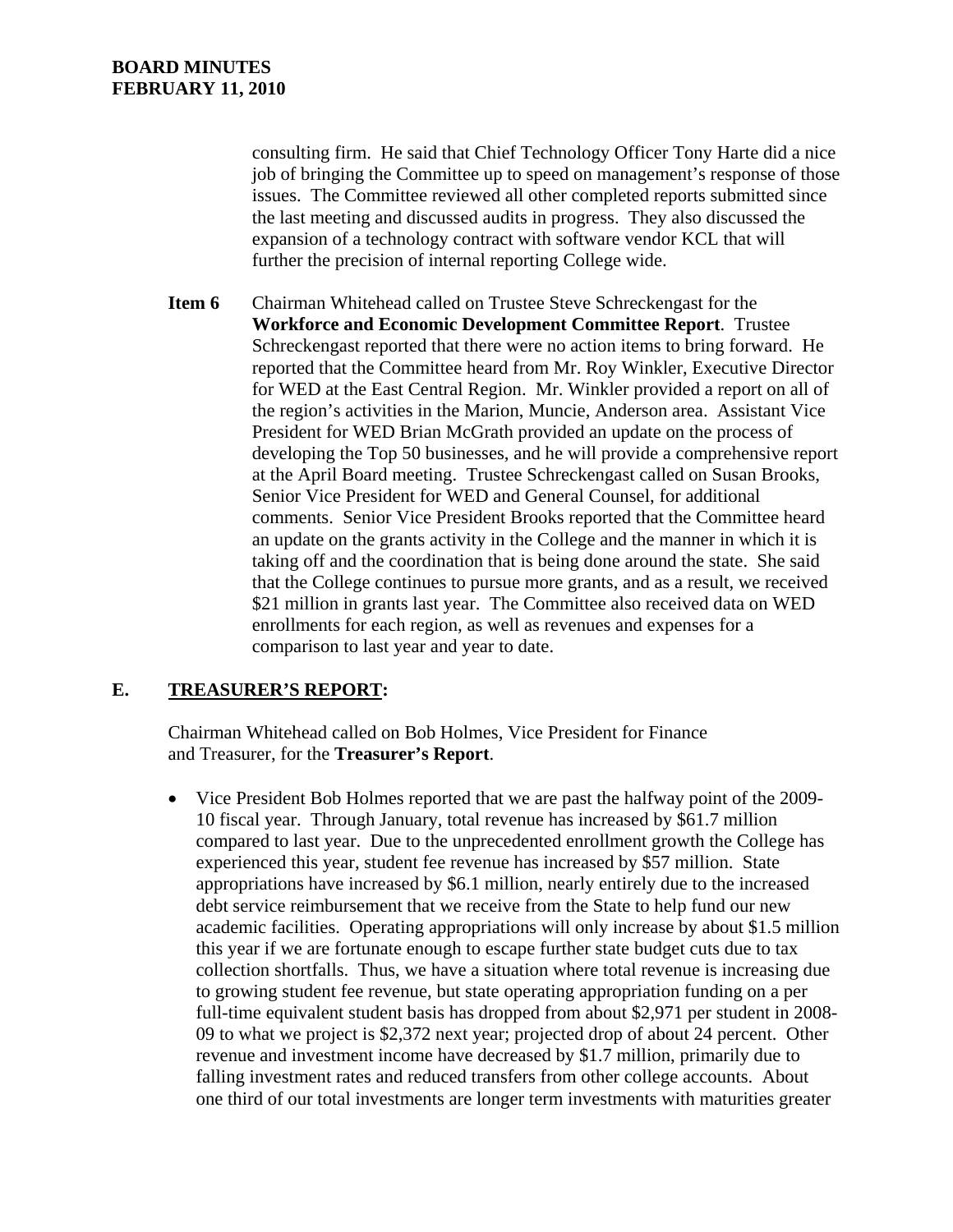consulting firm. He said that Chief Technology Officer Tony Harte did a nice job of bringing the Committee up to speed on management's response of those issues. The Committee reviewed all other completed reports submitted since the last meeting and discussed audits in progress. They also discussed the expansion of a technology contract with software vendor KCL that will further the precision of internal reporting College wide.

**Item 6** Chairman Whitehead called on Trustee Steve Schreckengast for the **Workforce and Economic Development Committee Report**. Trustee Schreckengast reported that there were no action items to bring forward. He reported that the Committee heard from Mr. Roy Winkler, Executive Director for WED at the East Central Region. Mr. Winkler provided a report on all of the region's activities in the Marion, Muncie, Anderson area. Assistant Vice President for WED Brian McGrath provided an update on the process of developing the Top 50 businesses, and he will provide a comprehensive report at the April Board meeting. Trustee Schreckengast called on Susan Brooks, Senior Vice President for WED and General Counsel, for additional comments. Senior Vice President Brooks reported that the Committee heard an update on the grants activity in the College and the manner in which it is taking off and the coordination that is being done around the state. She said that the College continues to pursue more grants, and as a result, we received \$21 million in grants last year. The Committee also received data on WED enrollments for each region, as well as revenues and expenses for a comparison to last year and year to date.

## **E. TREASURER'S REPORT:**

Chairman Whitehead called on Bob Holmes, Vice President for Finance and Treasurer, for the **Treasurer's Report**.

• Vice President Bob Holmes reported that we are past the halfway point of the 2009- 10 fiscal year. Through January, total revenue has increased by \$61.7 million compared to last year. Due to the unprecedented enrollment growth the College has experienced this year, student fee revenue has increased by \$57 million. State appropriations have increased by \$6.1 million, nearly entirely due to the increased debt service reimbursement that we receive from the State to help fund our new academic facilities. Operating appropriations will only increase by about \$1.5 million this year if we are fortunate enough to escape further state budget cuts due to tax collection shortfalls. Thus, we have a situation where total revenue is increasing due to growing student fee revenue, but state operating appropriation funding on a per full-time equivalent student basis has dropped from about \$2,971 per student in 2008- 09 to what we project is \$2,372 next year; projected drop of about 24 percent. Other revenue and investment income have decreased by \$1.7 million, primarily due to falling investment rates and reduced transfers from other college accounts. About one third of our total investments are longer term investments with maturities greater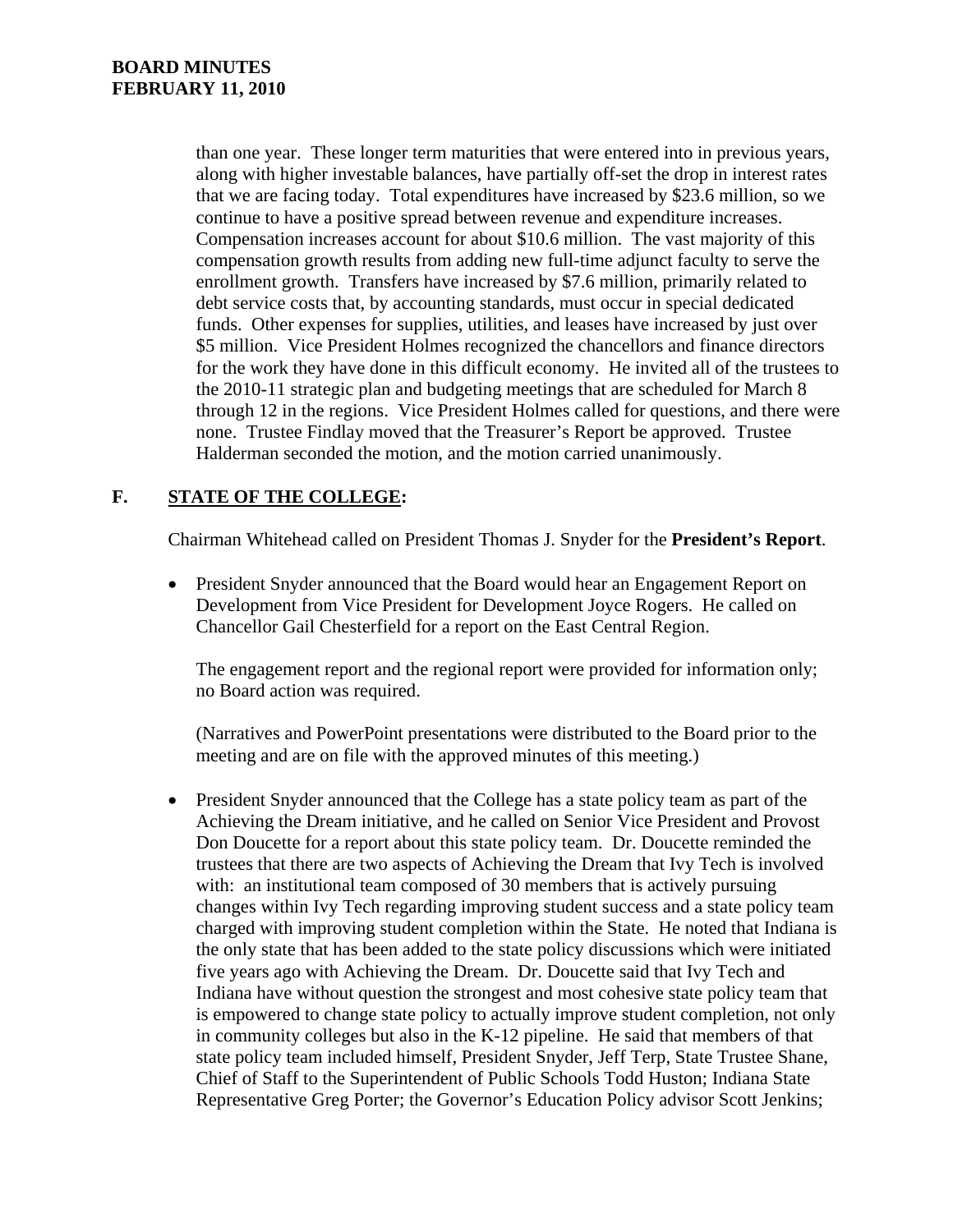than one year. These longer term maturities that were entered into in previous years, along with higher investable balances, have partially off-set the drop in interest rates that we are facing today. Total expenditures have increased by \$23.6 million, so we continue to have a positive spread between revenue and expenditure increases. Compensation increases account for about \$10.6 million. The vast majority of this compensation growth results from adding new full-time adjunct faculty to serve the enrollment growth. Transfers have increased by \$7.6 million, primarily related to debt service costs that, by accounting standards, must occur in special dedicated funds. Other expenses for supplies, utilities, and leases have increased by just over \$5 million. Vice President Holmes recognized the chancellors and finance directors for the work they have done in this difficult economy. He invited all of the trustees to the 2010-11 strategic plan and budgeting meetings that are scheduled for March 8 through 12 in the regions. Vice President Holmes called for questions, and there were none. Trustee Findlay moved that the Treasurer's Report be approved. Trustee Halderman seconded the motion, and the motion carried unanimously.

# **F. STATE OF THE COLLEGE:**

Chairman Whitehead called on President Thomas J. Snyder for the **President's Report**.

• President Snyder announced that the Board would hear an Engagement Report on Development from Vice President for Development Joyce Rogers. He called on Chancellor Gail Chesterfield for a report on the East Central Region.

The engagement report and the regional report were provided for information only; no Board action was required.

(Narratives and PowerPoint presentations were distributed to the Board prior to the meeting and are on file with the approved minutes of this meeting.)

• President Snyder announced that the College has a state policy team as part of the Achieving the Dream initiative, and he called on Senior Vice President and Provost Don Doucette for a report about this state policy team. Dr. Doucette reminded the trustees that there are two aspects of Achieving the Dream that Ivy Tech is involved with: an institutional team composed of 30 members that is actively pursuing changes within Ivy Tech regarding improving student success and a state policy team charged with improving student completion within the State. He noted that Indiana is the only state that has been added to the state policy discussions which were initiated five years ago with Achieving the Dream. Dr. Doucette said that Ivy Tech and Indiana have without question the strongest and most cohesive state policy team that is empowered to change state policy to actually improve student completion, not only in community colleges but also in the K-12 pipeline. He said that members of that state policy team included himself, President Snyder, Jeff Terp, State Trustee Shane, Chief of Staff to the Superintendent of Public Schools Todd Huston; Indiana State Representative Greg Porter; the Governor's Education Policy advisor Scott Jenkins;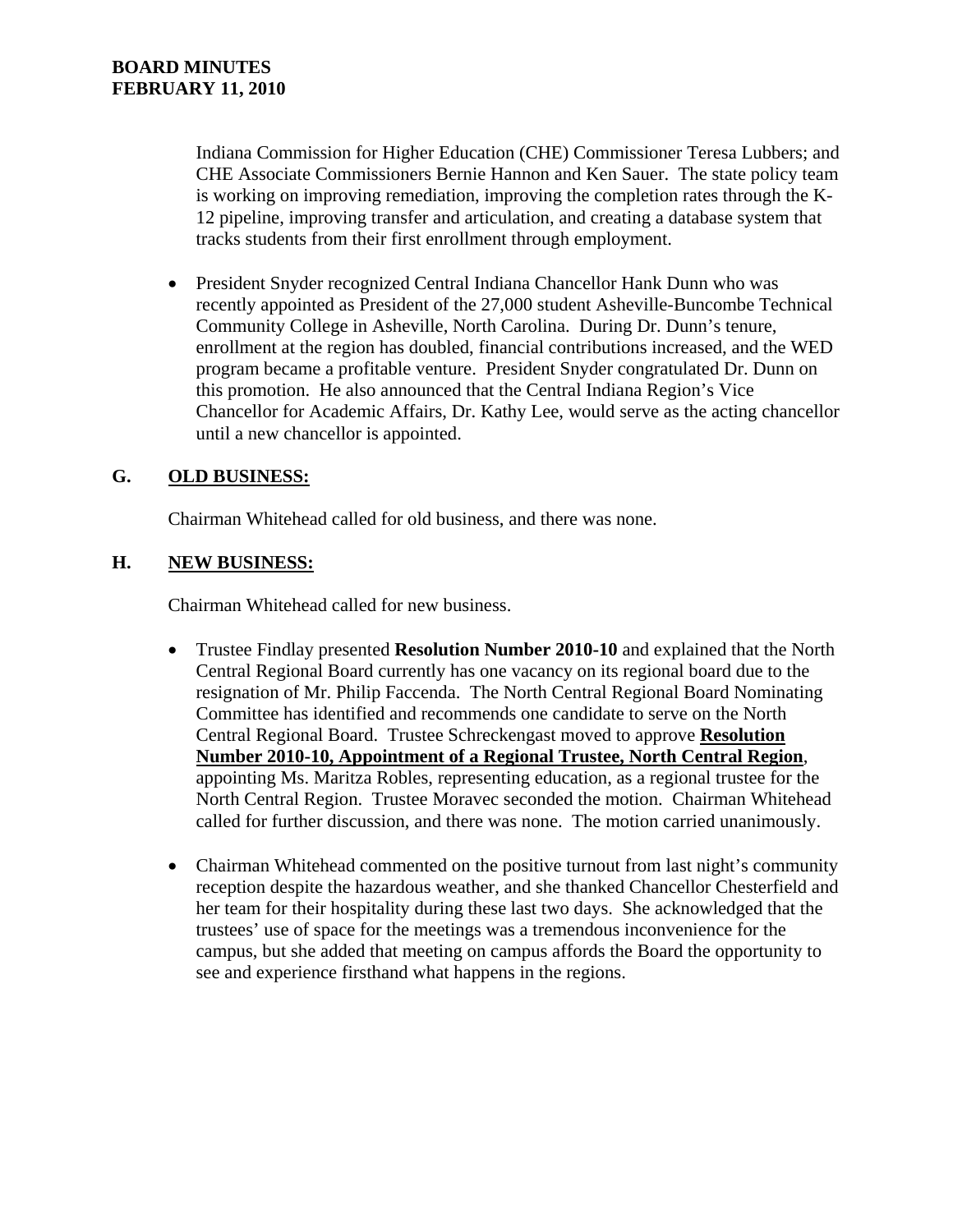Indiana Commission for Higher Education (CHE) Commissioner Teresa Lubbers; and CHE Associate Commissioners Bernie Hannon and Ken Sauer. The state policy team is working on improving remediation, improving the completion rates through the K-12 pipeline, improving transfer and articulation, and creating a database system that tracks students from their first enrollment through employment.

• President Snyder recognized Central Indiana Chancellor Hank Dunn who was recently appointed as President of the 27,000 student Asheville-Buncombe Technical Community College in Asheville, North Carolina. During Dr. Dunn's tenure, enrollment at the region has doubled, financial contributions increased, and the WED program became a profitable venture. President Snyder congratulated Dr. Dunn on this promotion. He also announced that the Central Indiana Region's Vice Chancellor for Academic Affairs, Dr. Kathy Lee, would serve as the acting chancellor until a new chancellor is appointed.

## **G. OLD BUSINESS:**

Chairman Whitehead called for old business, and there was none.

## **H. NEW BUSINESS:**

Chairman Whitehead called for new business.

- Trustee Findlay presented **Resolution Number 2010-10** and explained that the North Central Regional Board currently has one vacancy on its regional board due to the resignation of Mr. Philip Faccenda. The North Central Regional Board Nominating Committee has identified and recommends one candidate to serve on the North Central Regional Board. Trustee Schreckengast moved to approve **Resolution Number 2010-10, Appointment of a Regional Trustee, North Central Region**, appointing Ms. Maritza Robles, representing education, as a regional trustee for the North Central Region. Trustee Moravec seconded the motion. Chairman Whitehead called for further discussion, and there was none. The motion carried unanimously.
- Chairman Whitehead commented on the positive turnout from last night's community reception despite the hazardous weather, and she thanked Chancellor Chesterfield and her team for their hospitality during these last two days. She acknowledged that the trustees' use of space for the meetings was a tremendous inconvenience for the campus, but she added that meeting on campus affords the Board the opportunity to see and experience firsthand what happens in the regions.